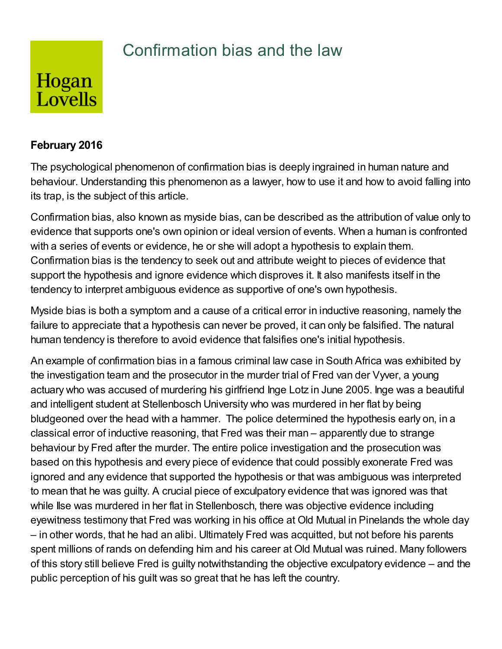## Confirmation bias and the law

## Hogan Lovells

## **February 2016**

The psychological phenomenon of confirmation bias is deeply ingrained in human nature and behaviour. Understanding this phenomenon as a lawyer, how to use it and how to avoid falling into its trap, is the subject of this article.

Confirmation bias, also known as myside bias, can be described as the attribution of value only to evidence that supports one's own opinion or ideal version of events. When a human is confronted with a series of events or evidence, he or she will adopt a hypothesis to explain them. Confirmation bias is the tendency to seek out and attribute weight to pieces of evidence that support the hypothesis and ignore evidence which disproves it. It also manifests itself in the tendency to interpret ambiguous evidence as supportive of one's own hypothesis.

Myside bias is both a symptom and a cause of a critical error in inductive reasoning, namely the failure to appreciate that a hypothesis can never be proved, it can only be falsified. The natural human tendency is therefore to avoid evidence that falsifies one's initial hypothesis.

An example of confirmation bias in a famous criminal law case in South Africa was exhibited by the investigation team and the prosecutor in the murder trial of Fred van der Vyver, a young actuary who was accused of murdering his girlfriend Inge Lotz in June 2005. Inge was a beautiful and intelligent student at Stellenbosch University who was murdered in her flat by being bludgeoned over the head with a hammer. The police determined the hypothesis early on, in a classical error of inductive reasoning, that Fred was their man – apparently due to strange behaviour by Fred after the murder. The entire police investigation and the prosecution was based on this hypothesis and every piece of evidence that could possibly exonerate Fred was ignored and any evidence that supported the hypothesis or that was ambiguous was interpreted to mean that he was guilty. A crucial piece of exculpatory evidence that was ignored was that while Ilse was murdered in her flat in Stellenbosch, there was objective evidence including eyewitness testimony that Fred was working in his office at Old Mutual in Pinelands the whole day – in other words, that he had an alibi. Ultimately Fred was acquitted, but not before his parents spent millions of rands on defending him and his career at Old Mutual was ruined. Many followers of this story still believe Fred is guilty notwithstanding the objective exculpatory evidence – and the public perception of his guilt was so great that he has left the country.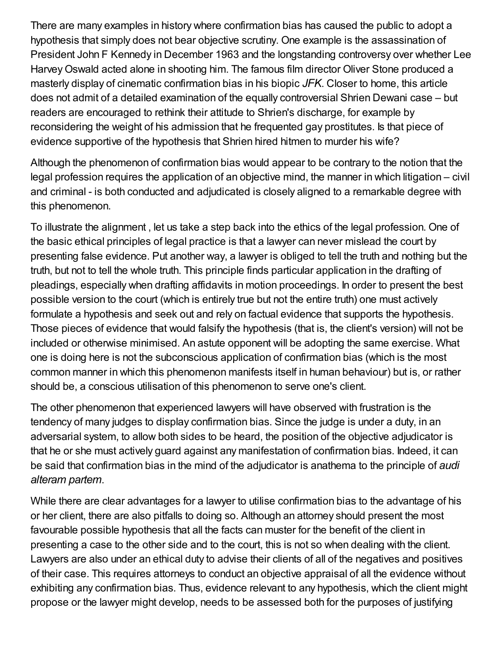There are many examples in history where confirmation bias has caused the public to adopt a hypothesis that simply does not bear objective scrutiny. One example is the assassination of President John F Kennedy in December 1963 and the longstanding controversy over whether Lee HarveyOswald acted alone in shooting him. The famous film director Oliver Stone produced a masterly display of cinematic confirmation bias in his biopic *JFK*. Closer to home, this article does not admit of a detailed examination of the equally controversial Shrien Dewani case – but readers are encouraged to rethink their attitude to Shrien's discharge, for example by reconsidering the weight of his admission that he frequented gay prostitutes. Is that piece of evidence supportive of the hypothesis that Shrien hired hitmen to murder his wife?

Although the phenomenon of confirmation bias would appear to be contrary to the notion that the legal profession requires the application of an objective mind, the manner in which litigation – civil and criminal - is both conducted and adjudicated is closely aligned to a remarkable degree with this phenomenon.

To illustrate the alignment , let us take a step back into the ethics of the legal profession. One of the basic ethical principles of legal practice is that a lawyer can never mislead the court by presenting false evidence. Put another way, a lawyer is obliged to tell the truth and nothing but the truth, but not to tell the whole truth. This principle finds particular application in the drafting of pleadings, especially when drafting affidavits in motion proceedings. In order to present the best possible version to the court (which is entirely true but not the entire truth) one must actively formulate a hypothesis and seek out and rely on factual evidence that supports the hypothesis. Those pieces of evidence that would falsify the hypothesis (that is, the client's version) will not be included or otherwise minimised. An astute opponent will be adopting the same exercise. What one is doing here is not the subconscious application of confirmation bias (which is the most common manner in which this phenomenon manifests itself in human behaviour) but is, or rather should be, a conscious utilisation of this phenomenon to serve one's client.

The other phenomenon that experienced lawyers will have observed with frustration is the tendency of many judges to display confirmation bias. Since the judge is under a duty, in an adversarial system, to allow both sides to be heard, the position of the objective adjudicator is that he or she must actively guard against any manifestation of confirmation bias. Indeed, it can be said that confirmation bias in the mind of the adjudicator is anathema to the principle of *audi alteram partem*.

While there are clear advantages for a lawyer to utilise confirmation bias to the advantage of his or her client, there are also pitfalls to doing so. Although an attorney should present the most favourable possible hypothesis that all the facts can muster for the benefit of the client in presenting a case to the other side and to the court, this is not so when dealing with the client. Lawyers are also under an ethical duty to advise their clients of all of the negatives and positives of their case. This requires attorneys to conduct an objective appraisal of all the evidence without exhibiting any confirmation bias. Thus, evidence relevant to any hypothesis, which the client might propose or the lawyer might develop, needs to be assessed both for the purposes of justifying